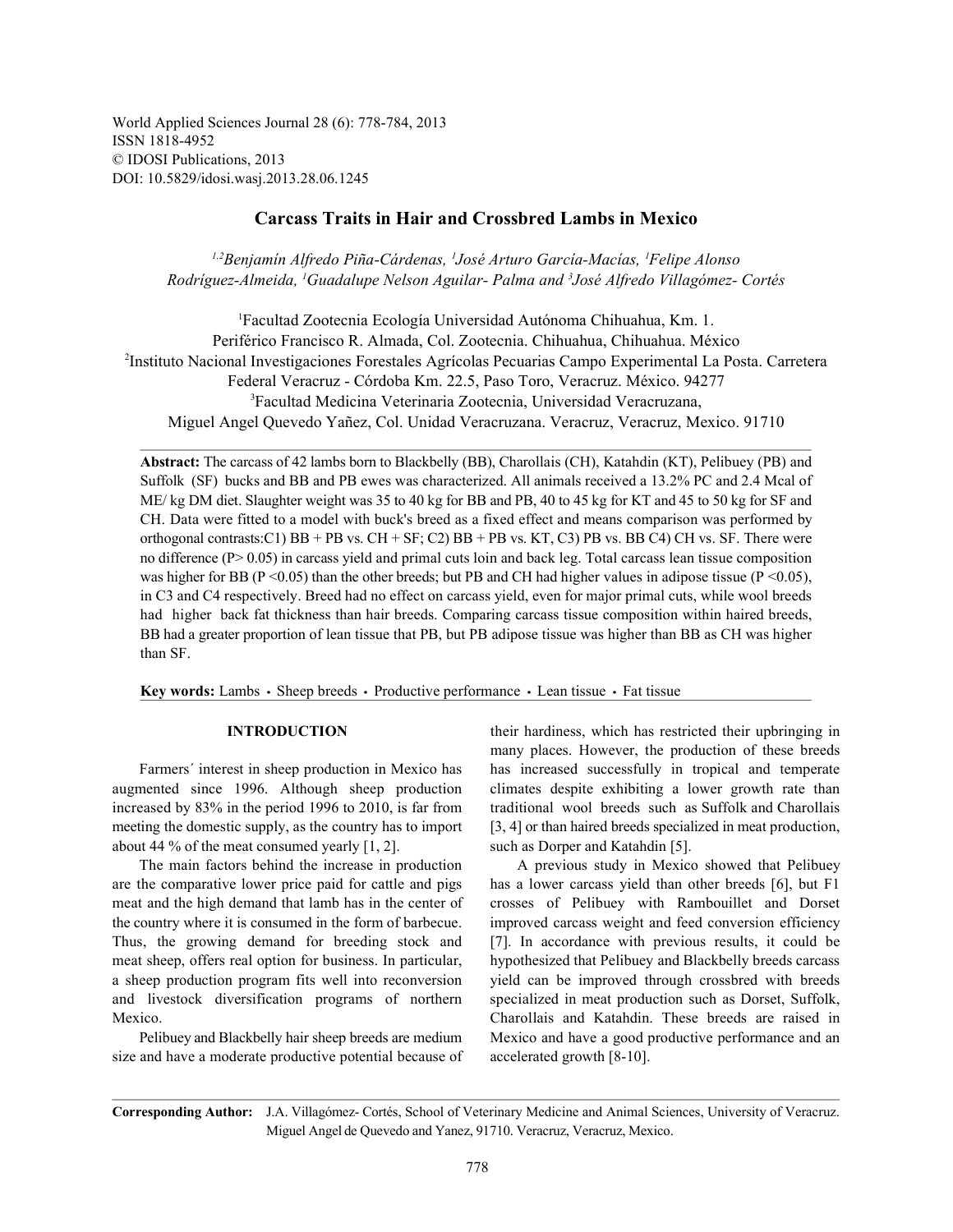World Applied Sciences Journal 28 (6): 778-784, 2013 ISSN 1818-4952 © IDOSI Publications, 2013 DOI: 10.5829/idosi.wasj.2013.28.06.1245

# **Carcass Traits in Hair and Crossbred Lambs in Mexico**

*Benjamín Alfredo Piña-Cárdenas, José Arturo García-Macías, Felipe Alonso 1,2 <sup>1</sup> <sup>1</sup> Rodríguez-Almeida, Guadalupe Nelson Aguilar- Palma and José Alfredo Villagómez- Cortés 1 3*

Facultad Zootecnia Ecología Universidad Autónoma Chihuahua, Km. 1. <sup>1</sup> Periférico Francisco R. Almada, Col. Zootecnia. Chihuahua, Chihuahua. México Instituto Nacional Investigaciones Forestales Agrícolas Pecuarias Campo Experimental La Posta. Carretera <sup>2</sup> Federal Veracruz - Córdoba Km. 22.5, Paso Toro, Veracruz. México. 94277 Facultad Medicina Veterinaria Zootecnia, Universidad Veracruzana, <sup>3</sup> Miguel Angel Quevedo Yañez, Col. Unidad Veracruzana. Veracruz, Veracruz, Mexico. 91710

**Abstract:** The carcass of 42 lambs born to Blackbelly (BB), Charollais (CH), Katahdin (KT), Pelibuey (PB) and Suffolk (SF) bucks and BB and PB ewes was characterized. All animals received a 13.2% PC and 2.4 Mcal of ME/ kg DM diet. Slaughter weight was 35 to 40 kg for BB and PB, 40 to 45 kg for KT and 45 to 50 kg for SF and CH. Data were fitted to a model with buck's breed as a fixed effect and means comparison was performed by orthogonal contrasts:C1) BB + PB vs. CH + SF; C2) BB + PB vs. KT, C3) PB vs. BB C4) CH vs. SF. There were no difference (P> 0.05) in carcass yield and primal cuts loin and back leg. Total carcass lean tissue composition was higher for BB (P <0.05) than the other breeds; but PB and CH had higher values in adipose tissue (P <0.05), in C3 and C4 respectively. Breed had no effect on carcass yield, even for major primal cuts, while wool breeds had higher back fat thickness than hair breeds. Comparing carcass tissue composition within haired breeds, BB had a greater proportion of lean tissue that PB, but PB adipose tissue was higher than BB as CH was higher than SF.

Key words: Lambs · Sheep breeds · Productive performance · Lean tissue · Fat tissue

increased by 83% in the period 1996 to 2010, is far from traditional wool breeds such as Suffolk and Charollais meeting the domestic supply, as the country has to import [3, 4] or than haired breeds specialized in meat production, about 44 % of the meat consumed yearly  $[1, 2]$ . such as Dorper and Katahdin [5].

size and have a moderate productive potential because of accelerated growth [8-10].

**INTRODUCTION** their hardiness, which has restricted their upbringing in Farmers´ interest in sheep production in Mexico has has increased successfully in tropical and temperate augmented since 1996. Although sheep production climates despite exhibiting a lower growth rate than many places. However, the production of these breeds

The main factors behind the increase in production A previous study in Mexico showed that Pelibuey are the comparative lower price paid for cattle and pigs has a lower carcass yield than other breeds [6], but F1 meat and the high demand that lamb has in the center of crosses of Pelibuey with Rambouillet and Dorset the country where it is consumed in the form of barbecue. improved carcass weight and feed conversion efficiency Thus, the growing demand for breeding stock and [7]. In accordance with previous results, it could be meat sheep, offers real option for business. In particular, hypothesized that Pelibuey and Blackbelly breeds carcass a sheep production program fits well into reconversion yield can be improved through crossbred with breeds and livestock diversification programs of northern specialized in meat production such as Dorset, Suffolk, Mexico. Charollais and Katahdin. These breeds are raised in Pelibuey and Blackbelly hair sheep breeds are medium Mexico and have a good productive performance and an

**Corresponding Author:** J.A. Villagómez- Cortés, School of Veterinary Medicine and Animal Sciences, University of Veracruz. Miguel Angel de Quevedo and Yanez, 91710. Veracruz, Veracruz, Mexico.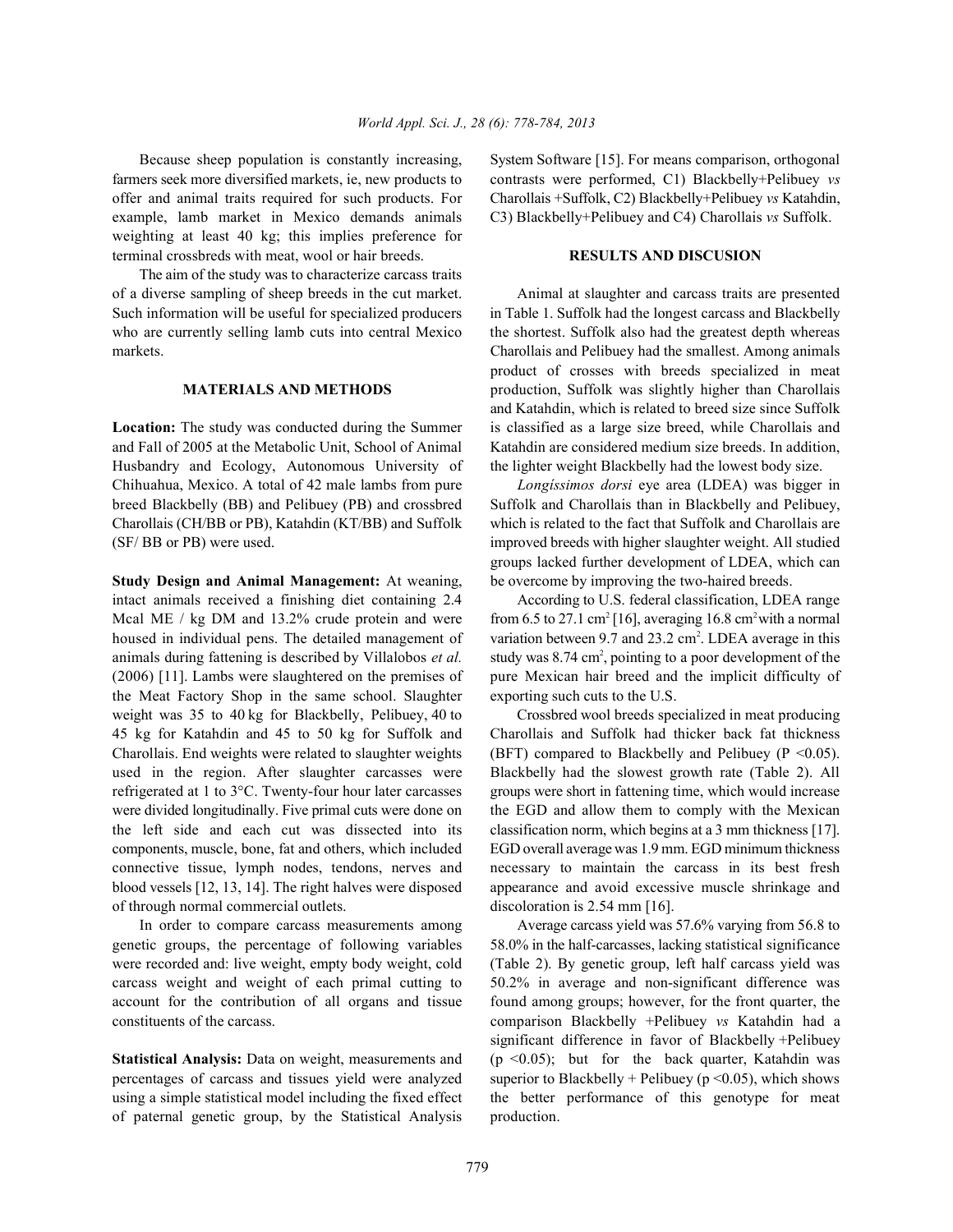farmers seek more diversified markets, ie, new products to contrasts were performed, C1) Blackbelly+Pelibuey *vs* offer and animal traits required for such products. For Charollais +Suffolk, C2) Blackbelly+Pelibuey *vs* Katahdin, example, lamb market in Mexico demands animals C3) Blackbelly+Pelibuey and C4) Charollais *vs* Suffolk. weighting at least 40 kg; this implies preference for terminal crossbreds with meat, wool or hair breeds. **RESULTS AND DISCUSION**

The aim of the study was to characterize carcass traits of a diverse sampling of sheep breeds in the cut market. Animal at slaughter and carcass traits are presented Such information will be useful for specialized producers in Table 1. Suffolk had the longest carcass and Blackbelly who are currently selling lamb cuts into central Mexico the shortest. Suffolk also had the greatest depth whereas markets. Charollais and Pelibuey had the smallest. Among animals

and Fall of 2005 at the Metabolic Unit, School of Animal Katahdin are considered medium size breeds. In addition, Husbandry and Ecology, Autonomous University of the lighter weight Blackbelly had the lowest body size. Chihuahua, Mexico. A total of 42 male lambs from pure *Longíssimos dorsi* eye area (LDEA) was bigger in breed Blackbelly (BB) and Pelibuey (PB) and crossbred Suffolk and Charollais than in Blackbelly and Pelibuey, Charollais (CH/BB or PB), Katahdin (KT/BB) and Suffolk which is related to the fact that Suffolk and Charollais are (SF/ BB or PB) were used. improved breeds with higher slaughter weight. All studied

intact animals received a finishing diet containing 2.4 According to U.S. federal classification, LDEA range Mcal ME / kg DM and 13.2% crude protein and were from 6.5 to 27.1 cm<sup>2</sup> [16], averaging 16.8 cm<sup>2</sup> with a normal housed in individual pens. The detailed management of variation between 9.7 and 23.2 cm<sup>2</sup>. LDEA average in this animals during fattening is described by Villalobos *et al.* study was 8.74 cm<sup>2</sup>, pointing to a poor development of the (2006) [11]. Lambs were slaughtered on the premises of pure Mexican hair breed and the implicit difficulty of the Meat Factory Shop in the same school. Slaughter exporting such cuts to the U.S. weight was 35 to 40 kg for Blackbelly, Pelibuey, 40 to Crossbred wool breeds specialized in meat producing 45 kg for Katahdin and 45 to 50 kg for Suffolk and Charollais and Suffolk had thicker back fat thickness Charollais. End weights were related to slaughter weights (BFT) compared to Blackbelly and Pelibuey (P < 0.05). used in the region. After slaughter carcasses were Blackbelly had the slowest growth rate (Table 2). All refrigerated at 1 to 3°C. Twenty-four hour later carcasses groups were short in fattening time, which would increase were divided longitudinally. Five primal cuts were done on the EGD and allow them to comply with the Mexican the left side and each cut was dissected into its classification norm, which begins at a 3 mm thickness [17]. components, muscle, bone, fat and others, which included EGD overall average was 1.9 mm. EGD minimum thickness connective tissue, lymph nodes, tendons, nerves and necessary to maintain the carcass in its best fresh blood vessels [12, 13, 14]. The right halves were disposed appearance and avoid excessive muscle shrinkage and of through normal commercial outlets. discoloration is 2.54 mm [16].

genetic groups, the percentage of following variables 58.0% in the half-carcasses, lacking statistical significance were recorded and: live weight, empty body weight, cold (Table 2). By genetic group, left half carcass yield was carcass weight and weight of each primal cutting to 50.2% in average and non-significant difference was account for the contribution of all organs and tissue found among groups; however, for the front quarter, the constituents of the carcass. comparison Blackbelly +Pelibuey *vs* Katahdin had a

percentages of carcass and tissues yield were analyzed superior to Blackbelly + Pelibuey ( $p$  <0.05), which shows using a simple statistical model including the fixed effect the better performance of this genotype for meat of paternal genetic group, by the Statistical Analysis production.

Because sheep population is constantly increasing, System Software [15]. For means comparison, orthogonal

**MATERIALS AND METHODS** production, Suffolk was slightly higher than Charollais Location: The study was conducted during the Summer is classified as a large size breed, while Charollais and product of crosses with breeds specialized in meat and Katahdin, which is related to breed size since Suffolk

**Study Design and Animal Management:** At weaning, be overcome by improving the two-haired breeds. groups lacked further development of LDEA, which can

In order to compare carcass measurements among Average carcass yield was 57.6% varying from 56.8 to **Statistical Analysis:** Data on weight, measurements and ( $p < 0.05$ ); but for the back quarter, Katahdin was significant difference in favor of Blackbelly +Pelibuey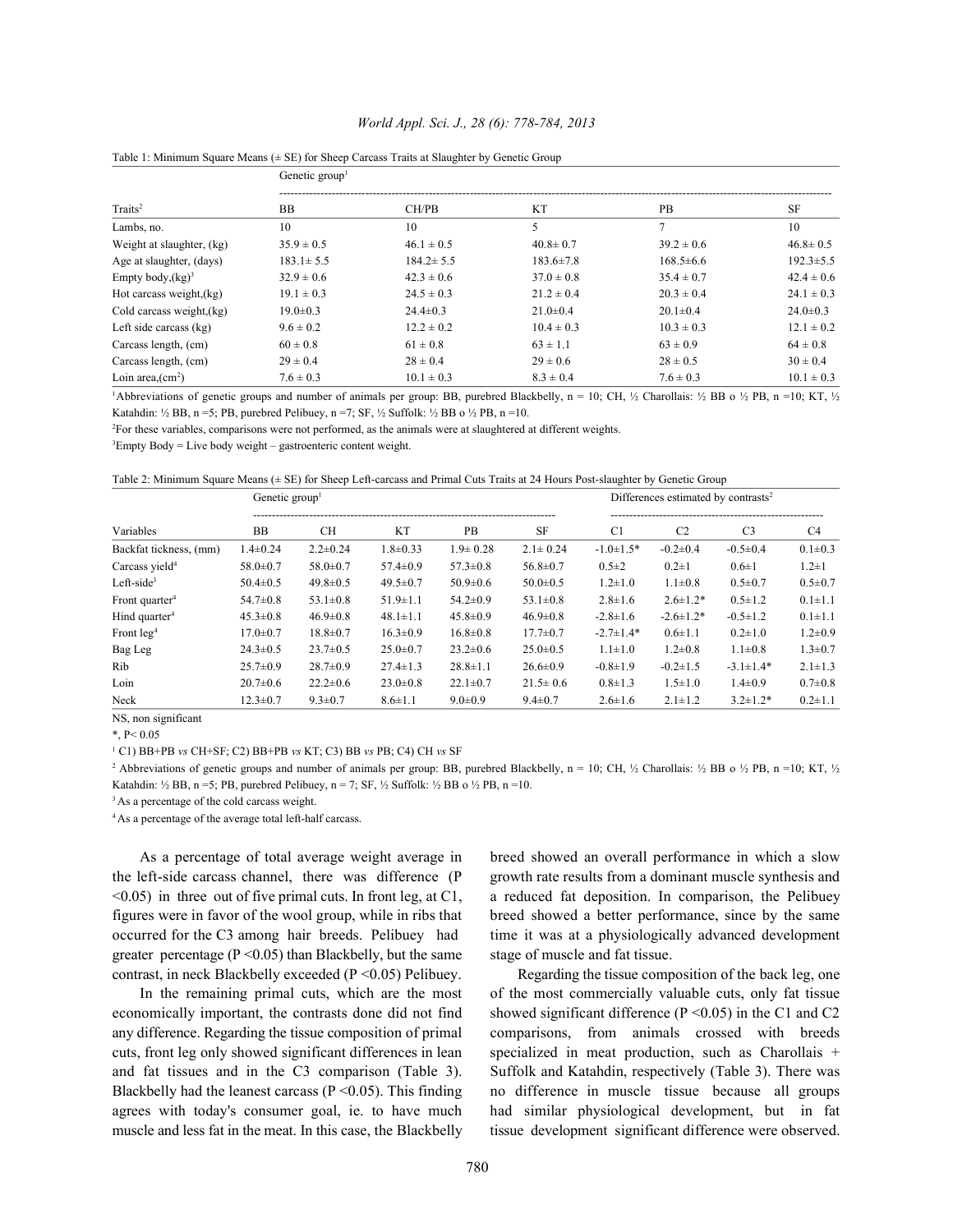|                           | Genetic group   |                 |                 |                 |                 |  |  |  |  |  |
|---------------------------|-----------------|-----------------|-----------------|-----------------|-----------------|--|--|--|--|--|
| Traits <sup>2</sup>       | <b>BB</b>       | CH/PB           | <b>KT</b>       | <b>PB</b>       | <b>SF</b>       |  |  |  |  |  |
| Lambs, no.                | 10              | 10              | 5               | 7               | 10              |  |  |  |  |  |
| Weight at slaughter, (kg) | $35.9 \pm 0.5$  | $46.1 \pm 0.5$  | $40.8 \pm 0.7$  | $39.2 \pm 0.6$  | $46.8 \pm 0.5$  |  |  |  |  |  |
| Age at slaughter, (days)  | $183.1 \pm 5.5$ | $184.2 \pm 5.5$ | $183.6 \pm 7.8$ | $168.5 \pm 6.6$ | $192.3 \pm 5.5$ |  |  |  |  |  |
| Empty body, $(kg)^3$      | $32.9 \pm 0.6$  | $42.3 \pm 0.6$  | $37.0 \pm 0.8$  | $35.4 \pm 0.7$  | $42.4 \pm 0.6$  |  |  |  |  |  |
| Hot carcass weight, (kg)  | $19.1 \pm 0.3$  | $24.5 \pm 0.3$  | $21.2 \pm 0.4$  | $20.3 \pm 0.4$  | $24.1 \pm 0.3$  |  |  |  |  |  |
| Cold carcass weight, (kg) | $19.0 \pm 0.3$  | $24.4 \pm 0.3$  | $21.0 \pm 0.4$  | $20.1 \pm 0.4$  | $24.0 \pm 0.3$  |  |  |  |  |  |
| Left side carcass $(kg)$  | $9.6 \pm 0.2$   | $12.2 \pm 0.2$  | $10.4 \pm 0.3$  | $10.3 \pm 0.3$  | $12.1 \pm 0.2$  |  |  |  |  |  |
| Carcass length, (cm)      | $60 \pm 0.8$    | $61 \pm 0.8$    | $63 \pm 1.1$    | $63 \pm 0.9$    | $64 \pm 0.8$    |  |  |  |  |  |
| Carcass length, (cm)      | $29 \pm 0.4$    | $28 \pm 0.4$    | $29 \pm 0.6$    | $28 \pm 0.5$    | $30 \pm 0.4$    |  |  |  |  |  |
| Loin area $(cm2)$         | $7.6 \pm 0.3$   | $10.1 \pm 0.3$  | $8.3 \pm 0.4$   | $7.6 \pm 0.3$   | $10.1 \pm 0.3$  |  |  |  |  |  |

## *World Appl. Sci. J., 28 (6): 778-784, 2013*



Abbreviations of genetic groups and number of animals per group: BB, purebred Blackbelly, n = 10; CH,  $\frac{1}{2}$  Charollais:  $\frac{1}{2}$  BB o  $\frac{1}{2}$  PB, n =10; KT,  $\frac{1}{2}$ Katahdin: ½ BB, n =5; PB, purebred Pelibuey, n =7; SF, ½ Suffolk: ½ BB o ½ PB, n =10.

<sup>2</sup>For these variables, comparisons were not performed, as the animals were at slaughtered at different weights.

 ${}^{3}$ Empty Body = Live body weight – gastroenteric content weight.

|  |  |  |  | Table 2: Minimum Square Means (± SE) for Sheep Left-carcass and Primal Cuts Traits at 24 Hours Post-slaughter by Genetic Group |
|--|--|--|--|--------------------------------------------------------------------------------------------------------------------------------|
|--|--|--|--|--------------------------------------------------------------------------------------------------------------------------------|

|                            | Genetic group  |                |                |                | Differences estimated by contrasts <sup>2</sup> |                 |                  |                 |                |  |  |
|----------------------------|----------------|----------------|----------------|----------------|-------------------------------------------------|-----------------|------------------|-----------------|----------------|--|--|
| Variables                  | <b>BB</b>      | CН             | <b>KT</b>      | <b>PB</b>      | <b>SF</b>                                       | C1              | C <sub>2</sub>   | C <sub>3</sub>  | C <sub>4</sub> |  |  |
| Backfat tickness, (mm)     | $1.4 \pm 0.24$ | $2.2 \pm 0.24$ | $1.8 \pm 0.33$ | $1.9 \pm 0.28$ | $2.1 \pm 0.24$                                  | $-1.0 \pm 1.5*$ | $-0.2 \pm 0.4$   | $-0.5 \pm 0.4$  | $0.1 \pm 0.3$  |  |  |
| Carcass yield <sup>4</sup> | $58.0 \pm 0.7$ | $58.0 \pm 0.7$ | $57.4 \pm 0.9$ | $57.3 \pm 0.8$ | $56.8 \pm 0.7$                                  | $0.5 \pm 2$     | $0.2 \pm 1$      | $0.6 \pm 1$     | $1.2 \pm 1$    |  |  |
| $Left-side3$               | $50.4 \pm 0.5$ | $49.8 \pm 0.5$ | $49.5 \pm 0.7$ | $50.9 \pm 0.6$ | $50.0 \pm 0.5$                                  | $1.2 \pm 1.0$   | $1.1 \pm 0.8$    | $0.5 \pm 0.7$   | $0.5 \pm 0.7$  |  |  |
| Front quarter <sup>4</sup> | $54.7 \pm 0.8$ | $53.1 \pm 0.8$ | $51.9 \pm 1.1$ | $54.2 \pm 0.9$ | $53.1 \pm 0.8$                                  | $2.8 \pm 1.6$   | $2.6 \pm 1.2^*$  | $0.5 \pm 1.2$   | $0.1 \pm 1.1$  |  |  |
| Hind quarter <sup>4</sup>  | $45.3 \pm 0.8$ | $46.9 \pm 0.8$ | $48.1 \pm 1.1$ | $45.8 \pm 0.9$ | $46.9 \pm 0.8$                                  | $-2.8 \pm 1.6$  | $-2.6 \pm 1.2$ * | $-0.5 \pm 1.2$  | $0.1 \pm 1.1$  |  |  |
| Front $leg4$               | $17.0 \pm 0.7$ | $18.8 \pm 0.7$ | $16.3 \pm 0.9$ | $16.8 \pm 0.8$ | $17.7 \pm 0.7$                                  | $-2.7 \pm 1.4*$ | $0.6 \pm 1.1$    | $0.2 \pm 1.0$   | $1.2 \pm 0.9$  |  |  |
| Bag Leg                    | $24.3 \pm 0.5$ | $23.7 \pm 0.5$ | $25.0 \pm 0.7$ | $23.2 \pm 0.6$ | $25.0 \pm 0.5$                                  | $1.1 \pm 1.0$   | $1.2 \pm 0.8$    | $1.1 \pm 0.8$   | $1.3 \pm 0.7$  |  |  |
| Rib                        | $25.7 \pm 0.9$ | $28.7 \pm 0.9$ | $27.4 \pm 1.3$ | $28.8 \pm 1.1$ | $26.6 \pm 0.9$                                  | $-0.8 \pm 1.9$  | $-0.2 \pm 1.5$   | $-3.1 \pm 1.4*$ | $2.1 \pm 1.3$  |  |  |
| Loin                       | $20.7 \pm 0.6$ | $22.2 \pm 0.6$ | $23.0 \pm 0.8$ | $22.1 \pm 0.7$ | $21.5 \pm 0.6$                                  | $0.8 \pm 1.3$   | $1.5 \pm 1.0$    | $1.4 \pm 0.9$   | $0.7 \pm 0.8$  |  |  |
| Neck                       | $12.3 \pm 0.7$ | $9.3 \pm 0.7$  | $8.6 \pm 1.1$  | $9.0 \pm 0.9$  | $9.4 \pm 0.7$                                   | $2.6 \pm 1.6$   | $2.1 \pm 1.2$    | $3.2 \pm 1.2^*$ | $0.2 \pm 1.1$  |  |  |

NS, non significant

 $*$ , P< 0.05

<sup>1</sup> C1) BB+PB *vs* CH+SF; C2) BB+PB *vs* KT; C3) BB *vs* PB; C4) CH *vs* SF

<sup>2</sup> Abbreviations of genetic groups and number of animals per group: BB, purebred Blackbelly, n = 10; CH, ½ Charollais: ½ BB o ½ PB, n =10; KT, ½ Katahdin: ½ BB, n =5; PB, purebred Pelibuey, n = 7; SF, ½ Suffolk: ½ BB o ½ PB, n = 10.

<sup>3</sup> As a percentage of the cold carcass weight.

<sup>4</sup> As a percentage of the average total left-half carcass.

greater percentage ( $P \le 0.05$ ) than Blackbelly, but the same stage of muscle and fat tissue. contrast, in neck Blackbelly exceeded ( $P \le 0.05$ ) Pelibuey. Regarding the tissue composition of the back leg, one

muscle and less fat in the meat. In this case, the Blackbelly tissue development significant difference were observed.

As a percentage of total average weight average in breed showed an overall performance in which a slow the left-side carcass channel, there was difference (P growth rate results from a dominant muscle synthesis and  $\leq 0.05$ ) in three out of five primal cuts. In front leg, at C1, a reduced fat deposition. In comparison, the Pelibuey figures were in favor of the wool group, while in ribs that breed showed a better performance, since by the same occurred for the C3 among hair breeds. Pelibuey had time it was at a physiologically advanced development

In the remaining primal cuts, which are the most of the most commercially valuable cuts, only fat tissue economically important, the contrasts done did not find showed significant difference (P <0.05) in the C1 and C2 any difference. Regarding the tissue composition of primal comparisons, from animals crossed with breeds cuts, front leg only showed significant differences in lean specialized in meat production, such as Charollais + and fat tissues and in the C3 comparison (Table 3). Suffolk and Katahdin, respectively (Table 3). There was Blackbelly had the leanest carcass  $(P \le 0.05)$ . This finding no difference in muscle tissue because all groups agrees with today's consumer goal, ie. to have much had similar physiological development, but in fat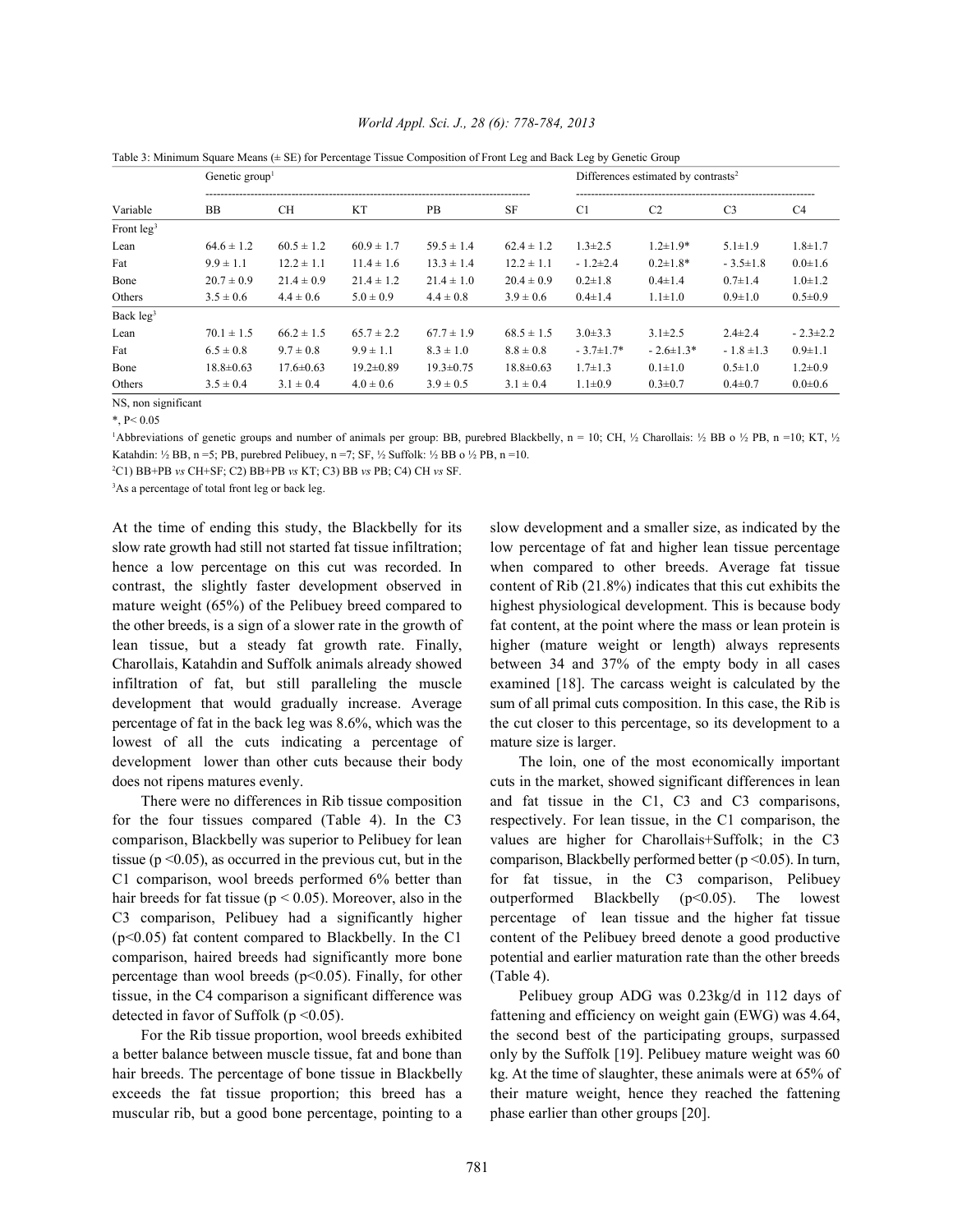| Variable     | Genetic group <sup>1</sup> |                 |                 | Differences estimated by contrasts <sup>2</sup> |                 |                 |                 |                |                |
|--------------|----------------------------|-----------------|-----------------|-------------------------------------------------|-----------------|-----------------|-----------------|----------------|----------------|
|              | <b>BB</b>                  | CН              | <b>KT</b>       | <b>PB</b>                                       | <b>SF</b>       | C1              | C <sub>2</sub>  | C <sub>3</sub> | C <sub>4</sub> |
| Front $leg3$ |                            |                 |                 |                                                 |                 |                 |                 |                |                |
| Lean         | $64.6 \pm 1.2$             | $60.5 \pm 1.2$  | $60.9 \pm 1.7$  | $59.5 \pm 1.4$                                  | $62.4 \pm 1.2$  | $1.3 \pm 2.5$   | $1.2 \pm 1.9*$  | $5.1 \pm 1.9$  | $1.8 \pm 1.7$  |
| Fat          | $9.9 \pm 1.1$              | $12.2 \pm 1.1$  | $11.4 \pm 1.6$  | $13.3 \pm 1.4$                                  | $12.2 \pm 1.1$  | $-1.2\pm2.4$    | $0.2 \pm 1.8*$  | $-3.5 \pm 1.8$ | $0.0 \pm 1.6$  |
| Bone         | $20.7 \pm 0.9$             | $21.4 \pm 0.9$  | $21.4 \pm 1.2$  | $21.4 \pm 1.0$                                  | $20.4 \pm 0.9$  | $0.2 \pm 1.8$   | $0.4 \pm 1.4$   | $0.7 \pm 1.4$  | $1.0 \pm 1.2$  |
| Others       | $3.5 \pm 0.6$              | $4.4 \pm 0.6$   | $5.0 \pm 0.9$   | $4.4 \pm 0.8$                                   | $3.9 \pm 0.6$   | $0.4 \pm 1.4$   | $1.1 \pm 1.0$   | $0.9 \pm 1.0$  | $0.5 \pm 0.9$  |
| Back $leg3$  |                            |                 |                 |                                                 |                 |                 |                 |                |                |
| Lean         | $70.1 \pm 1.5$             | $66.2 \pm 1.5$  | $65.7 \pm 2.2$  | $67.7 \pm 1.9$                                  | $68.5 \pm 1.5$  | $3.0 \pm 3.3$   | $3.1 \pm 2.5$   | $2.4 \pm 2.4$  | $-2.3 \pm 2.2$ |
| Fat          | $6.5 \pm 0.8$              | $9.7 \pm 0.8$   | $9.9 \pm 1.1$   | $8.3 \pm 1.0$                                   | $8.8 \pm 0.8$   | $-3.7 \pm 1.7*$ | $-2.6 \pm 1.3*$ | $-1.8 \pm 1.3$ | $0.9 \pm 1.1$  |
| Bone         | $18.8 \pm 0.63$            | $17.6 \pm 0.63$ | $19.2 \pm 0.89$ | $19.3 \pm 0.75$                                 | $18.8 \pm 0.63$ | $1.7 \pm 1.3$   | $0.1 + 1.0$     | $0.5 \pm 1.0$  | $1.2 \pm 0.9$  |
| Others       | $3.5 \pm 0.4$              | $3.1 \pm 0.4$   | $4.0 \pm 0.6$   | $3.9 \pm 0.5$                                   | $3.1 \pm 0.4$   | $1.1 \pm 0.9$   | $0.3 \pm 0.7$   | $0.4 \pm 0.7$  | $0.0 + 0.6$    |

# *World Appl. Sci. J., 28 (6): 778-784, 2013*

Table 3: Minimum Square Means (± SE) for Percentage Tissue Composition of Front Leg and Back Leg by Genetic Group

NS, non significant

\*, P< 0.05

Abbreviations of genetic groups and number of animals per group: BB, purebred Blackbelly, n = 10; CH,  $\frac{1}{2}$  Charollais:  $\frac{1}{2}$  BB o  $\frac{1}{2}$  PB, n =10; KT,  $\frac{1}{2}$ Katahdin: ½ BB, n =5; PB, purebred Pelibuey, n =7; SF, ½ Suffolk: ½ BB o ½ PB, n =10.

C1) BB+PB *vs* CH+SF; C2) BB+PB *vs* KT; C3) BB *vs* PB; C4) CH *vs* SF. <sup>2</sup>

<sup>3</sup>As a percentage of total front leg or back leg.

slow rate growth had still not started fat tissue infiltration; low percentage of fat and higher lean tissue percentage hence a low percentage on this cut was recorded. In when compared to other breeds. Average fat tissue contrast, the slightly faster development observed in content of Rib (21.8%) indicates that this cut exhibits the mature weight (65%) of the Pelibuey breed compared to highest physiological development. This is because body the other breeds, is a sign of a slower rate in the growth of fat content, at the point where the mass or lean protein is lean tissue, but a steady fat growth rate. Finally, higher (mature weight or length) always represents Charollais, Katahdin and Suffolk animals already showed between 34 and 37% of the empty body in all cases infiltration of fat, but still paralleling the muscle examined [18]. The carcass weight is calculated by the development that would gradually increase. Average sum of all primal cuts composition. In this case, the Rib is percentage of fat in the back leg was 8.6%, which was the the cut closer to this percentage, so its development to a lowest of all the cuts indicating a percentage of mature size is larger. development lower than other cuts because their body The loin, one of the most economically important does not ripens matures evenly. cuts in the market, showed significant differences in lean

for the four tissues compared (Table 4). In the C3 respectively. For lean tissue, in the C1 comparison, the comparison, Blackbelly was superior to Pelibuey for lean values are higher for Charollais+Suffolk; in the C3 tissue (p <0.05), as occurred in the previous cut, but in the comparison, Blackbelly performed better (p <0.05). In turn, C1 comparison, wool breeds performed 6% better than for fat tissue, in the C3 comparison, Pelibuey hair breeds for fat tissue (p < 0.05). Moreover, also in the outperformed Blackbelly (p < 0.05). The lowest C3 comparison, Pelibuey had a significantly higher percentage of lean tissue and the higher fat tissue (p<0.05) fat content compared to Blackbelly. In the C1 content of the Pelibuey breed denote a good productive comparison, haired breeds had significantly more bone potential and earlier maturation rate than the other breeds percentage than wool breeds ( $p<0.05$ ). Finally, for other (Table 4). tissue, in the C4 comparison a significant difference was Pelibuey group ADG was 0.23kg/d in 112 days of detected in favor of Suffolk (p <0.05). fattening and efficiency on weight gain (EWG) was 4.64,

a better balance between muscle tissue, fat and bone than only by the Suffolk [19]. Pelibuey mature weight was 60 hair breeds. The percentage of bone tissue in Blackbelly kg. At the time of slaughter, these animals were at 65% of exceeds the fat tissue proportion; this breed has a their mature weight, hence they reached the fattening muscular rib, but a good bone percentage, pointing to a phase earlier than other groups [20].

At the time of ending this study, the Blackbelly for its slow development and a smaller size, as indicated by the

There were no differences in Rib tissue composition and fat tissue in the C1, C3 and C3 comparisons,

For the Rib tissue proportion, wool breeds exhibited the second best of the participating groups, surpassed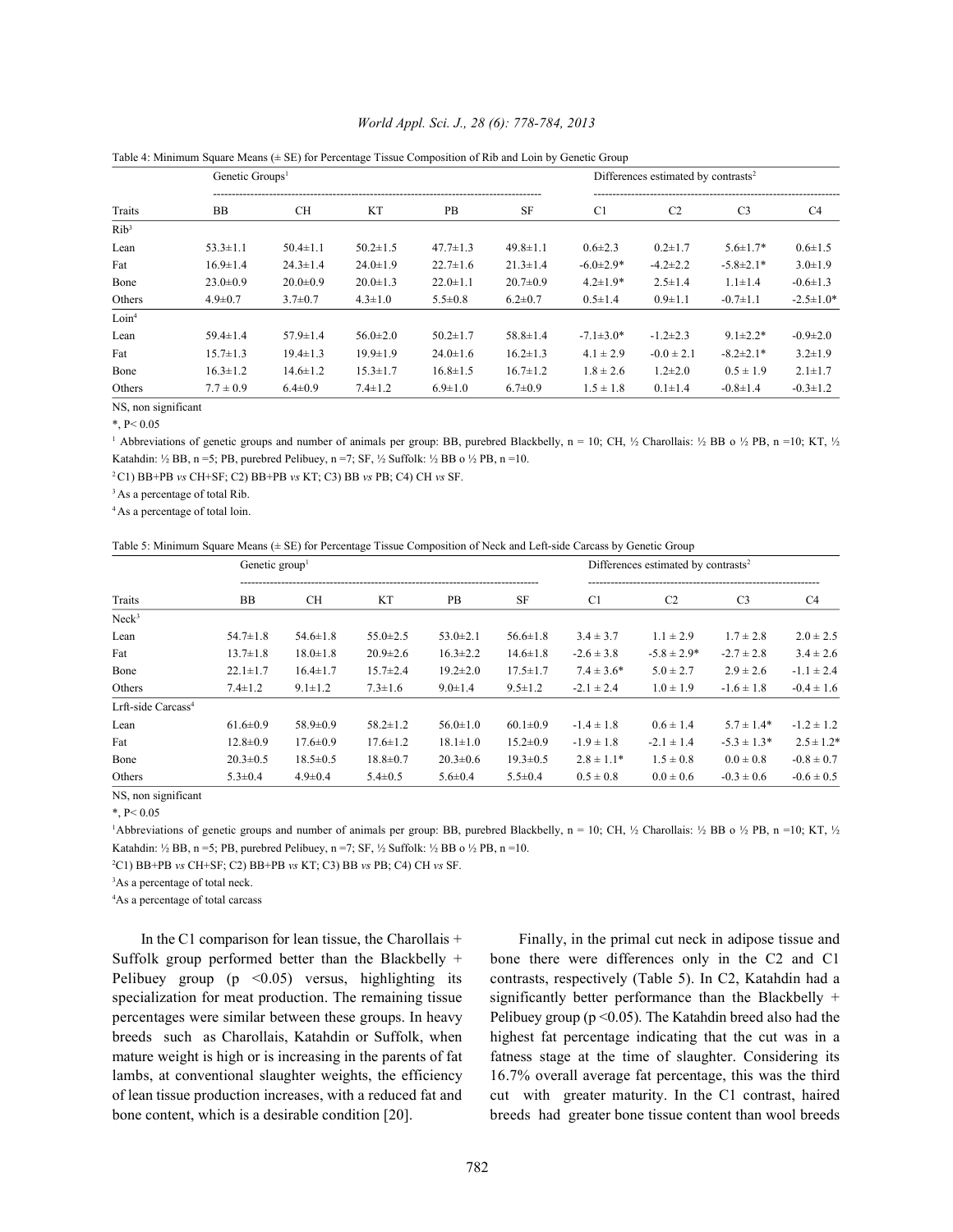|                   | Genetic Groups <sup>1</sup> |                |                |                |                | Differences estimated by contrasts <sup>2</sup> |                |                 |                 |  |
|-------------------|-----------------------------|----------------|----------------|----------------|----------------|-------------------------------------------------|----------------|-----------------|-----------------|--|
| Traits            | <b>BB</b>                   | <b>CH</b>      | <b>KT</b>      | <b>PB</b>      | <b>SF</b>      | C <sub>1</sub>                                  | C <sub>2</sub> | C <sub>3</sub>  | C4              |  |
| $Rib^3$           |                             |                |                |                |                |                                                 |                |                 |                 |  |
| Lean              | $53.3 \pm 1.1$              | $50.4 \pm 1.1$ | $50.2 \pm 1.5$ | $47.7 \pm 1.3$ | $49.8 \pm 1.1$ | $0.6 \pm 2.3$                                   | $0.2 \pm 1.7$  | $5.6 \pm 1.7*$  | $0.6 \pm 1.5$   |  |
| Fat               | $16.9 \pm 1.4$              | $24.3 \pm 1.4$ | $24.0 \pm 1.9$ | $22.7 \pm 1.6$ | $21.3 \pm 1.4$ | $-6.0 \pm 2.9*$                                 | $-4.2 \pm 2.2$ | $-5.8 \pm 2.1*$ | $3.0 \pm 1.9$   |  |
| Bone              | $23.0 \pm 0.9$              | $20.0 \pm 0.9$ | $20.0 \pm 1.3$ | $22.0 \pm 1.1$ | $20.7 \pm 0.9$ | $4.2 \pm 1.9*$                                  | $2.5 \pm 1.4$  | $1.1 \pm 1.4$   | $-0.6 \pm 1.3$  |  |
| Others            | $4.9 \pm 0.7$               | $3.7 \pm 0.7$  | $4.3 \pm 1.0$  | $5.5 \pm 0.8$  | $6.2 \pm 0.7$  | $0.5 \pm 1.4$                                   | $0.9 \pm 1.1$  | $-0.7\pm1.1$    | $-2.5 \pm 1.0*$ |  |
| Loin <sup>4</sup> |                             |                |                |                |                |                                                 |                |                 |                 |  |
| Lean              | $59.4 \pm 1.4$              | $57.9 \pm 1.4$ | $56.0 \pm 2.0$ | $50.2 \pm 1.7$ | $58.8 \pm 1.4$ | $-7.1 \pm 3.0*$                                 | $-1.2 \pm 2.3$ | $9.1 \pm 2.2^*$ | $-0.9 \pm 2.0$  |  |
| Fat               | $15.7 \pm 1.3$              | $19.4 \pm 1.3$ | $19.9 \pm 1.9$ | $24.0 \pm 1.6$ | $16.2 \pm 1.3$ | $4.1 \pm 2.9$                                   | $-0.0 \pm 2.1$ | $-8.2 \pm 2.1*$ | $3.2 \pm 1.9$   |  |
| Bone              | $16.3 \pm 1.2$              | $14.6 \pm 1.2$ | $15.3 \pm 1.7$ | $16.8 \pm 1.5$ | $16.7 \pm 1.2$ | $1.8 \pm 2.6$                                   | $1.2 \pm 2.0$  | $0.5 \pm 1.9$   | $2.1 \pm 1.7$   |  |
| Others            | $7.7 \pm 0.9$               | $6.4 \pm 0.9$  | $7.4 \pm 1.2$  | $6.9 \pm 1.0$  | $6.7 \pm 0.9$  | $1.5 \pm 1.8$                                   | $0.1 \pm 1.4$  | $-0.8 \pm 1.4$  | $-0.3 \pm 1.2$  |  |

# *World Appl. Sci. J., 28 (6): 778-784, 2013*

Table 4: Minimum Square Means (± SE) for Percentage Tissue Composition of Rib and Loin by Genetic Group

NS, non significant

 $*$ , P< 0.05

<sup>1</sup> Abbreviations of genetic groups and number of animals per group: BB, purebred Blackbelly, n = 10; CH, ½ Charollais: ½ BB o ½ PB, n =10; KT, ½ Katahdin: ½ BB, n =5; PB, purebred Pelibuey, n =7; SF, ½ Suffolk: ½ BB o ½ PB, n =10.

<sup>2</sup>C1) BB+PB *vs* CH+SF; C2) BB+PB *vs* KT; C3) BB *vs* PB; C4) CH *vs* SF.

<sup>3</sup> As a percentage of total Rib.

<sup>4</sup> As a percentage of total loin.

| Table 5: Minimum Square Means (± SE) for Percentage Tissue Composition of Neck and Left-side Carcass by Genetic Group |  |  |  |  |  |
|-----------------------------------------------------------------------------------------------------------------------|--|--|--|--|--|
|                                                                                                                       |  |  |  |  |  |

| Traits                         | Genetic group <sup>1</sup> |                |                |                |                |                 | Differences estimated by contrasts $2$ |                  |                 |
|--------------------------------|----------------------------|----------------|----------------|----------------|----------------|-----------------|----------------------------------------|------------------|-----------------|
|                                | <b>BB</b>                  | CН             | KT             | <b>PB</b>      | SF             | C1              | C <sub>2</sub>                         | C <sub>3</sub>   | C4              |
| Neck <sup>3</sup>              |                            |                |                |                |                |                 |                                        |                  |                 |
| Lean                           | $54.7 \pm 1.8$             | $54.6 \pm 1.8$ | $55.0 \pm 2.5$ | $53.0 \pm 2.1$ | $56.6 \pm 1.8$ | $3.4 \pm 3.7$   | $1.1 \pm 2.9$                          | $1.7 \pm 2.8$    | $2.0 \pm 2.5$   |
| Fat                            | $13.7 \pm 1.8$             | $18.0 \pm 1.8$ | $20.9 \pm 2.6$ | $16.3 \pm 2.2$ | $14.6 \pm 1.8$ | $-2.6 \pm 3.8$  | $-5.8 \pm 2.9*$                        | $-2.7 \pm 2.8$   | $3.4 \pm 2.6$   |
| Bone                           | $22.1 \pm 1.7$             | $16.4 \pm 1.7$ | $15.7 \pm 2.4$ | $19.2 \pm 2.0$ | $17.5 \pm 1.7$ | $7.4 \pm 3.6^*$ | $5.0 \pm 2.7$                          | $2.9 \pm 2.6$    | $-1.1 \pm 2.4$  |
| Others                         | $7.4 \pm 1.2$              | $9.1 \pm 1.2$  | $7.3 \pm 1.6$  | $9.0 \pm 1.4$  | $9.5 \pm 1.2$  | $-2.1 \pm 2.4$  | $1.0 \pm 1.9$                          | $-1.6 \pm 1.8$   | $-0.4 \pm 1.6$  |
| Lrft-side Carcass <sup>4</sup> |                            |                |                |                |                |                 |                                        |                  |                 |
| Lean                           | $61.6 \pm 0.9$             | $58.9 \pm 0.9$ | $58.2 \pm 1.2$ | $56.0 \pm 1.0$ | $60.1 \pm 0.9$ | $-1.4 \pm 1.8$  | $0.6 \pm 1.4$                          | $5.7 \pm 1.4*$   | $-1.2 \pm 1.2$  |
| Fat                            | $12.8 \pm 0.9$             | $17.6 \pm 0.9$ | $17.6 \pm 1.2$ | $18.1 \pm 1.0$ | $15.2 \pm 0.9$ | $-1.9 \pm 1.8$  | $-2.1 \pm 1.4$                         | $-5.3 \pm 1.3^*$ | $2.5 \pm 1.2^*$ |
| Bone                           | $20.3 \pm 0.5$             | $18.5 \pm 0.5$ | $18.8 \pm 0.7$ | $20.3 \pm 0.6$ | $19.3 \pm 0.5$ | $2.8 \pm 1.1*$  | $1.5 \pm 0.8$                          | $0.0 \pm 0.8$    | $-0.8 \pm 0.7$  |
| Others                         | $5.3 \pm 0.4$              | $4.9 \pm 0.4$  | $5.4 \pm 0.5$  | $5.6 \pm 0.4$  | $5.5 \pm 0.4$  | $0.5 \pm 0.8$   | $0.0 \pm 0.6$                          | $-0.3 \pm 0.6$   | $-0.6 \pm 0.5$  |

NS, non significant

\*, P< 0.05

Abbreviations of genetic groups and number of animals per group: BB, purebred Blackbelly,  $n = 10$ ; CH,  $\frac{1}{2}$  Charollais: ½ BB o ½ PB, n =10; KT, ½ Katahdin: ½ BB, n =5; PB, purebred Pelibuey, n =7; SF, ½ Suffolk: ½ BB o ½ PB, n =10.

<sup>2</sup>C1) BB+PB *vs* CH+SF; C2) BB+PB *vs* KT; C3) BB *vs* PB; C4) CH *vs* SF.

<sup>3</sup>As a percentage of total neck.

<sup>4</sup>As a percentage of total carcass

Suffolk group performed better than the Blackbelly + bone there were differences only in the C2 and C1 Pelibuey group (p  $\leq 0.05$ ) versus, highlighting its contrasts, respectively (Table 5). In C2, Katahdin had a specialization for meat production. The remaining tissue significantly better performance than the Blackbelly + percentages were similar between these groups. In heavy Pelibuey group (p <0.05). The Katahdin breed also had the breeds such as Charollais, Katahdin or Suffolk, when highest fat percentage indicating that the cut was in a mature weight is high or is increasing in the parents of fat fatness stage at the time of slaughter. Considering its lambs, at conventional slaughter weights, the efficiency 16.7% overall average fat percentage, this was the third of lean tissue production increases, with a reduced fat and cut with greater maturity. In the C1 contrast, haired bone content, which is a desirable condition [20]. breeds had greater bone tissue content than wool breeds

In the C1 comparison for lean tissue, the Charollais + Finally, in the primal cut neck in adipose tissue and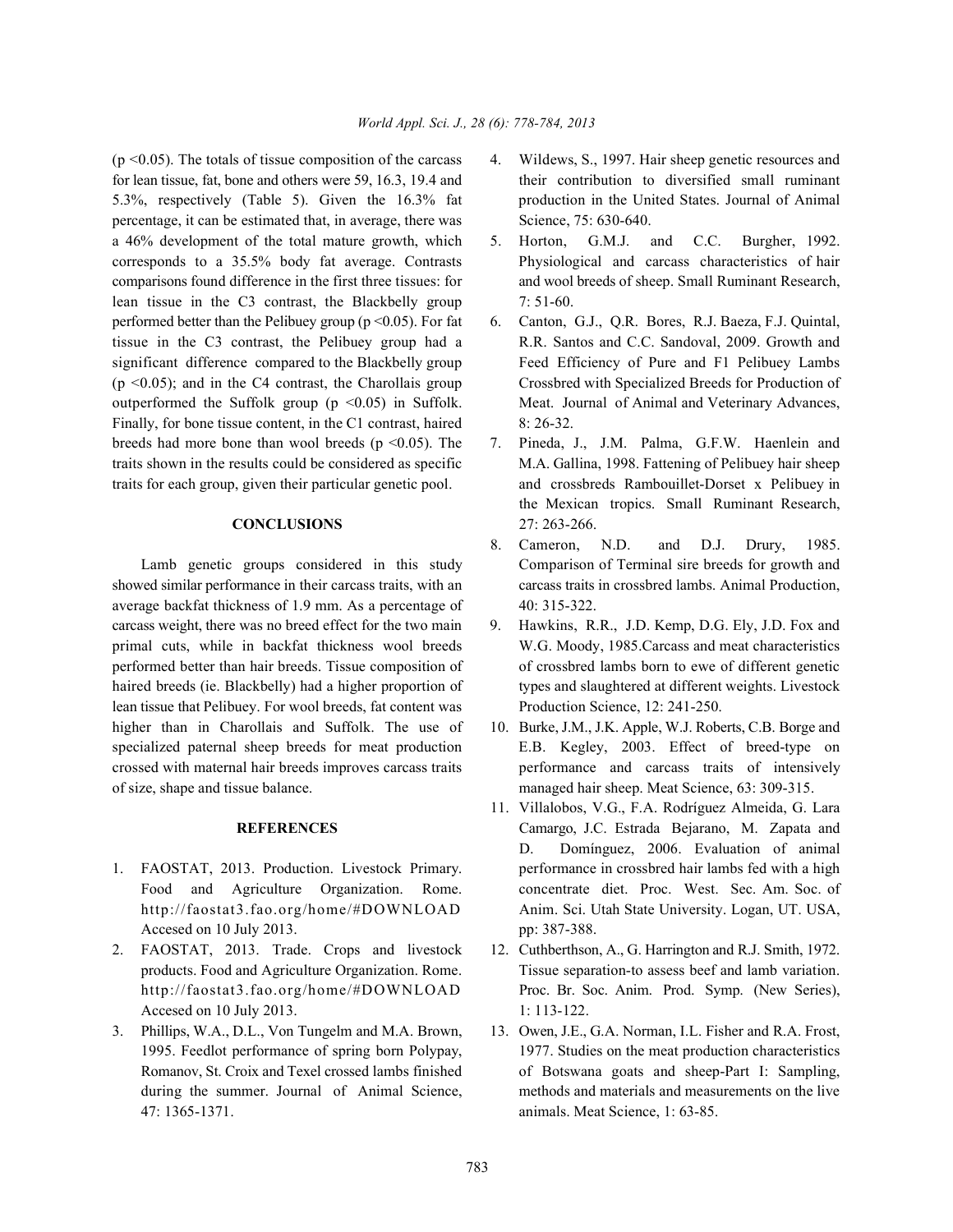for lean tissue, fat, bone and others were 59, 16.3, 19.4 and their contribution to diversified small ruminant 5.3%, respectively (Table 5). Given the 16.3% fat production in the United States. Journal of Animal percentage, it can be estimated that, in average, there was Science, 75: 630-640. a 46% development of the total mature growth, which 5. Horton, G.M.J. and C.C. Burgher, 1992. corresponds to a 35.5% body fat average. Contrasts Physiological and carcass characteristics of hair comparisons found difference in the first three tissues: for and wool breeds of sheep. Small Ruminant Research, lean tissue in the C3 contrast, the Blackbelly group 7: 51-60. performed better than the Pelibuey group (p <0.05). For fat 6. Canton, G.J., Q.R. Bores, R.J. Baeza, F.J. Quintal, tissue in the C3 contrast, the Pelibuey group had a R.R. Santos and C.C. Sandoval, 2009. Growth and significant difference compared to the Blackbelly group Feed Efficiency of Pure and F1 Pelibuey Lambs  $(p \le 0.05)$ ; and in the C4 contrast, the Charollais group Crossbred with Specialized Breeds for Production of outperformed the Suffolk group (p <0.05) in Suffolk. Meat. Journal of Animal and Veterinary Advances, Finally, for bone tissue content, in the C1 contrast, haired 8: 26-32. breeds had more bone than wool breeds (p < 0.05). The 7. Pineda, J., J.M. Palma, G.F.W. Haenlein and traits shown in the results could be considered as specific M.A. Gallina, 1998. Fattening of Pelibuey hair sheep traits for each group, given their particular genetic pool. and crossbreds Rambouillet-Dorset x Pelibuey in

showed similar performance in their carcass traits, with an carcass traits in crossbred lambs. Animal Production, average backfat thickness of 1.9 mm. As a percentage of 40: 315-322. carcass weight, there was no breed effect for the two main 9. Hawkins, R.R., J.D. Kemp, D.G. Ely, J.D. Fox and primal cuts, while in backfat thickness wool breeds W.G. Moody, 1985.Carcass and meat characteristics performed better than hair breeds. Tissue composition of of crossbred lambs born to ewe of different genetic haired breeds (ie. Blackbelly) had a higher proportion of types and slaughtered at different weights. Livestock lean tissue that Pelibuey. For wool breeds, fat content was Production Science, 12: 241-250. higher than in Charollais and Suffolk. The use of 10. Burke, J.M., J.K. Apple, W.J. Roberts, C.B. Borge and specialized paternal sheep breeds for meat production E.B. Kegley, 2003. Effect of breed-type on crossed with maternal hair breeds improves carcass traits performance and carcass traits of intensively of size, shape and tissue balance. managed hair sheep. Meat Science, 63: 309-315.

- Accesed on 10 July 2013. pp: 387-388.
- 2. FAOSTAT, 2013. Trade. Crops and livestock 12. Cuthberthson, A., G. Harrington and R.J. Smith, 1972. Accesed on 10 July 2013. 1: 113-122.
- 3. Phillips, W.A., D.L., Von Tungelm and M.A. Brown, 13. Owen, J.E., G.A. Norman, I.L. Fisher and R.A. Frost, 47: 1365-1371. animals. Meat Science, 1: 63-85.
- $(p \le 0.05)$ . The totals of tissue composition of the carcass 4. Wildews, S., 1997. Hair sheep genetic resources and
	-
	-
	- **CONCLUSIONS** 27: 263-266. the Mexican tropics. Small Ruminant Research,
	- Lamb genetic groups considered in this study Comparison of Terminal sire breeds for growth and 8. Cameron, N.D. and D.J. Drury, 1985.
		-
		-
- **REFERENCES** Camargo, J.C. Estrada Bejarano, M. Zapata and 1. FAOSTAT, 2013. Production. Livestock Primary. performance in crossbred hair lambs fed with a high Food and Agriculture Organization. Rome. concentrate diet. Proc. West. Sec. Am. Soc. of http://faostat3.fao.org/home/#DOWNLOAD Anim. Sci. Utah State University. Logan, UT. USA, 11. Villalobos, V.G., F.A. Rodríguez Almeida, G. Lara D. Domínguez, 2006. Evaluation of animal
	- products. Food and Agriculture Organization. Rome. Tissue separation-to assess beef and lamb variation. http://faostat3.fao.org/home/#DOWNLOAD Proc. Br. Soc. Anim. Prod. Symp. (New Series),
	- 1995. Feedlot performance of spring born Polypay, 1977. Studies on the meat production characteristics Romanov, St. Croix and Texel crossed lambs finished of Botswana goats and sheep-Part I: Sampling, during the summer. Journal of Animal Science, methods and materials and measurements on the live